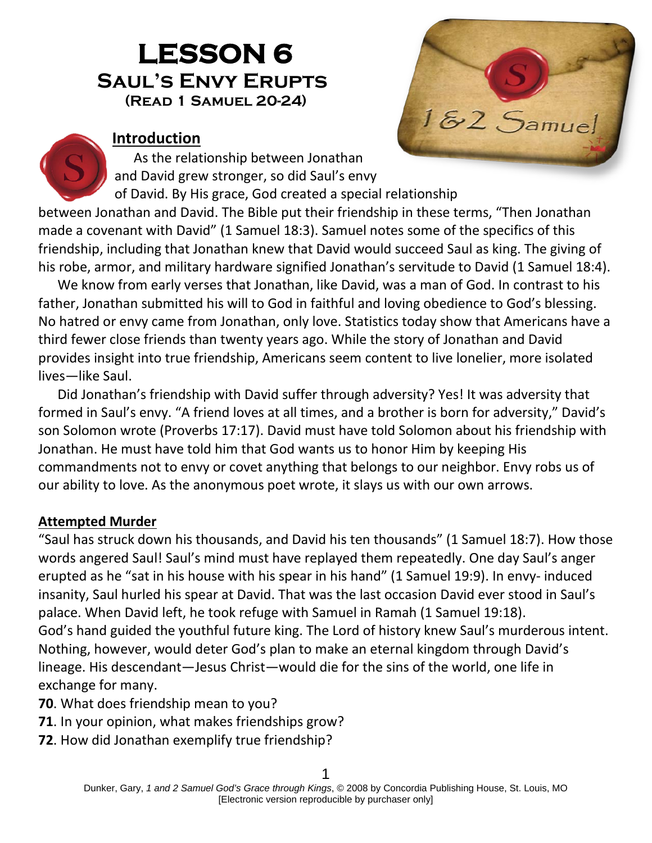# **LESSON 6 Saul's Envy Erupts(Read 1 Samuel 20-24)**



#### **Introduction**

As the relationship between Jonathan and David grew stronger, so did Saul's envy of David. By His grace, God created a special relationship

between Jonathan and David. The Bible put their friendship in these terms, "Then Jonathan made a covenant with David" (1 Samuel 18:3). Samuel notes some of the specifics of this friendship, including that Jonathan knew that David would succeed Saul as king. The giving of his robe, armor, and military hardware signified Jonathan's servitude to David (1 Samuel 18:4).

We know from early verses that Jonathan, like David, was a man of God. In contrast to his father, Jonathan submitted his will to God in faithful and loving obedience to God's blessing. No hatred or envy came from Jonathan, only love. Statistics today show that Americans have a third fewer close friends than twenty years ago. While the story of Jonathan and David provides insight into true friendship, Americans seem content to live lonelier, more isolated lives—like Saul.

Did Jonathan's friendship with David suffer through adversity? Yes! It was adversity that formed in Saul's envy. "A friend loves at all times, and a brother is born for adversity," David's son Solomon wrote (Proverbs 17:17). David must have told Solomon about his friendship with Jonathan. He must have told him that God wants us to honor Him by keeping His commandments not to envy or covet anything that belongs to our neighbor. Envy robs us of our ability to love. As the anonymous poet wrote, it slays us with our own arrows.

#### **Attempted Murder**

"Saul has struck down his thousands, and David his ten thousands" (1 Samuel 18:7). How those words angered Saul! Saul's mind must have replayed them repeatedly. One day Saul's anger erupted as he "sat in his house with his spear in his hand" (1 Samuel 19:9). In envy- induced insanity, Saul hurled his spear at David. That was the last occasion David ever stood in Saul's palace. When David left, he took refuge with Samuel in Ramah (1 Samuel 19:18). God's hand guided the youthful future king. The Lord of history knew Saul's murderous intent. Nothing, however, would deter God's plan to make an eternal kingdom through David's lineage. His descendant—Jesus Christ—would die for the sins of the world, one life in exchange for many.

- **70**. What does friendship mean to you?
- **71**. In your opinion, what makes friendships grow?
- **72**. How did Jonathan exemplify true friendship?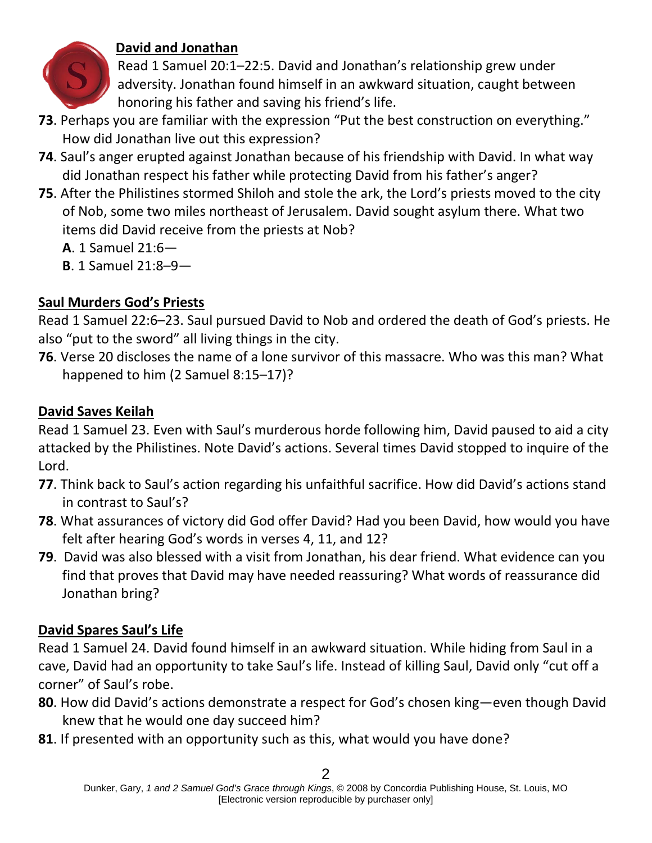

## **David and Jonathan**

Read 1 Samuel 20:1–22:5. David and Jonathan's relationship grew under adversity. Jonathan found himself in an awkward situation, caught between honoring his father and saving his friend's life.

- **73**. Perhaps you are familiar with the expression "Put the best construction on everything." How did Jonathan live out this expression?
- **74**. Saul's anger erupted against Jonathan because of his friendship with David. In what way did Jonathan respect his father while protecting David from his father's anger?
- **75**. After the Philistines stormed Shiloh and stole the ark, the Lord's priests moved to the city of Nob, some two miles northeast of Jerusalem. David sought asylum there. What two items did David receive from the priests at Nob?
	- **A**. 1 Samuel 21:6—
	- **B**. 1 Samuel 21:8–9—

## **Saul Murders God's Priests**

Read 1 Samuel 22:6–23. Saul pursued David to Nob and ordered the death of God's priests. He also "put to the sword" all living things in the city.

**76**. Verse 20 discloses the name of a lone survivor of this massacre. Who was this man? What happened to him (2 Samuel 8:15–17)?

## **David Saves Keilah**

Read 1 Samuel 23. Even with Saul's murderous horde following him, David paused to aid a city attacked by the Philistines. Note David's actions. Several times David stopped to inquire of the Lord.

- **77**. Think back to Saul's action regarding his unfaithful sacrifice. How did David's actions stand in contrast to Saul's?
- **78**. What assurances of victory did God offer David? Had you been David, how would you have felt after hearing God's words in verses 4, 11, and 12?
- **79**. David was also blessed with a visit from Jonathan, his dear friend. What evidence can you find that proves that David may have needed reassuring? What words of reassurance did Jonathan bring?

# **David Spares Saul's Life**

Read 1 Samuel 24. David found himself in an awkward situation. While hiding from Saul in a cave, David had an opportunity to take Saul's life. Instead of killing Saul, David only "cut off a corner" of Saul's robe.

- **80**. How did David's actions demonstrate a respect for God's chosen king—even though David knew that he would one day succeed him?
- **81**. If presented with an opportunity such as this, what would you have done?